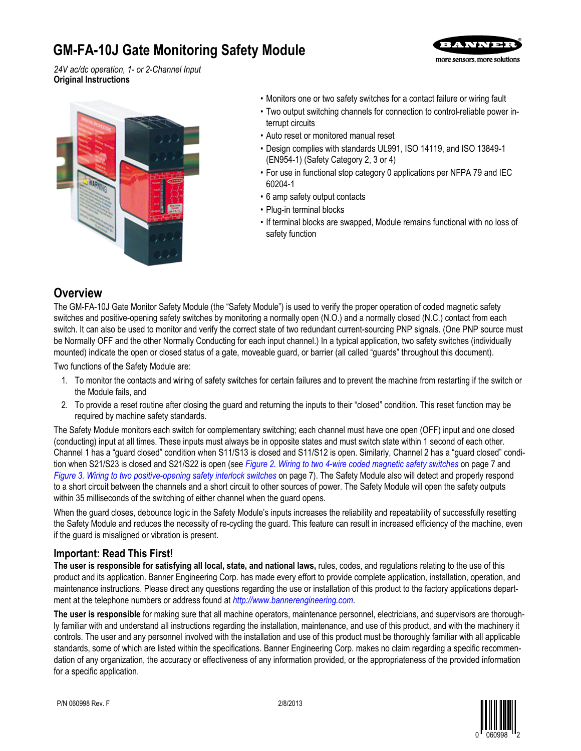# **GM-FA-10J Gate Monitoring Safety Module**



*24V ac/dc operation, 1- or 2-Channel Input* **Original Instructions**



- Monitors one or two safety switches for a contact failure or wiring fault
- Two output switching channels for connection to control-reliable power interrupt circuits
- Auto reset or monitored manual reset
- Design complies with standards UL991, ISO 14119, and ISO 13849-1 (EN954-1) (Safety Category 2, 3 or 4)
- For use in functional stop category 0 applications per NFPA 79 and IEC 60204-1
- 6 amp safety output contacts
- Plug-in terminal blocks
- If terminal blocks are swapped, Module remains functional with no loss of safety function

## **Overview**

The GM-FA-10J Gate Monitor Safety Module (the "Safety Module") is used to verify the proper operation of coded magnetic safety switches and positive-opening safety switches by monitoring a normally open (N.O.) and a normally closed (N.C.) contact from each switch. It can also be used to monitor and verify the correct state of two redundant current-sourcing PNP signals. (One PNP source must be Normally OFF and the other Normally Conducting for each input channel.) In a typical application, two safety switches (individually mounted) indicate the open or closed status of a gate, moveable guard, or barrier (all called "guards" throughout this document).

Two functions of the Safety Module are:

- 1. To monitor the contacts and wiring of safety switches for certain failures and to prevent the machine from restarting if the switch or the Module fails, and
- 2. To provide a reset routine after closing the guard and returning the inputs to their "closed" condition. This reset function may be required by machine safety standards.

The Safety Module monitors each switch for complementary switching; each channel must have one open (OFF) input and one closed (conducting) input at all times. These inputs must always be in opposite states and must switch state within 1 second of each other. Channel 1 has a "guard closed" condition when S11/S13 is closed and S11/S12 is open. Similarly, Channel 2 has a "guard closed" condition when S21/S23 is closed and S21/S22 is open (see *[Figure 2. Wiring to two 4-wire coded magnetic safety switches](#page-6-0)* on page 7 and *[Figure 3. Wiring to two positive-opening safety interlock switches](#page-6-0)* on page 7). The Safety Module also will detect and properly respond to a short circuit between the channels and a short circuit to other sources of power. The Safety Module will open the safety outputs within 35 milliseconds of the switching of either channel when the guard opens.

When the guard closes, debounce logic in the Safety Module's inputs increases the reliability and repeatability of successfully resetting the Safety Module and reduces the necessity of re-cycling the guard. This feature can result in increased efficiency of the machine, even if the guard is misaligned or vibration is present.

### **Important: Read This First!**

**The user is responsible for satisfying all local, state, and national laws,** rules, codes, and regulations relating to the use of this product and its application. Banner Engineering Corp. has made every effort to provide complete application, installation, operation, and maintenance instructions. Please direct any questions regarding the use or installation of this product to the factory applications department at the telephone numbers or address found at *<http://www.bannerengineering.com>*.

**The user is responsible** for making sure that all machine operators, maintenance personnel, electricians, and supervisors are thoroughly familiar with and understand all instructions regarding the installation, maintenance, and use of this product, and with the machinery it controls. The user and any personnel involved with the installation and use of this product must be thoroughly familiar with all applicable standards, some of which are listed within the specifications. Banner Engineering Corp. makes no claim regarding a specific recommendation of any organization, the accuracy or effectiveness of any information provided, or the appropriateness of the provided information for a specific application.

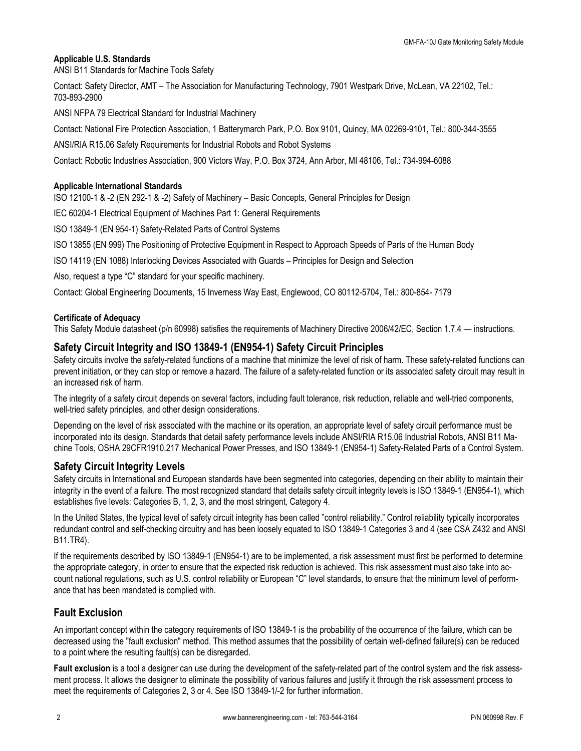### **Applicable U.S. Standards**

ANSI B11 Standards for Machine Tools Safety

Contact: Safety Director, AMT – The Association for Manufacturing Technology, 7901 Westpark Drive, McLean, VA 22102, Tel.: 703-893-2900

ANSI NFPA 79 Electrical Standard for Industrial Machinery

Contact: National Fire Protection Association, 1 Batterymarch Park, P.O. Box 9101, Quincy, MA 02269-9101, Tel.: 800-344-3555

ANSI/RIA R15.06 Safety Requirements for Industrial Robots and Robot Systems

Contact: Robotic Industries Association, 900 Victors Way, P.O. Box 3724, Ann Arbor, MI 48106, Tel.: 734-994-6088

### **Applicable International Standards**

ISO 12100-1 & -2 (EN 292-1 & -2) Safety of Machinery – Basic Concepts, General Principles for Design

IEC 60204-1 Electrical Equipment of Machines Part 1: General Requirements

ISO 13849-1 (EN 954-1) Safety-Related Parts of Control Systems

ISO 13855 (EN 999) The Positioning of Protective Equipment in Respect to Approach Speeds of Parts of the Human Body

ISO 14119 (EN 1088) Interlocking Devices Associated with Guards – Principles for Design and Selection

Also, request a type "C" standard for your specific machinery.

Contact: Global Engineering Documents, 15 Inverness Way East, Englewood, CO 80112-5704, Tel.: 800-854- 7179

### **Certificate of Adequacy**

This Safety Module datasheet (p/n 60998) satisfies the requirements of Machinery Directive 2006/42/EC, Section 1.7.4 — instructions.

### **Safety Circuit Integrity and ISO 13849-1 (EN954-1) Safety Circuit Principles**

Safety circuits involve the safety-related functions of a machine that minimize the level of risk of harm. These safety-related functions can prevent initiation, or they can stop or remove a hazard. The failure of a safety-related function or its associated safety circuit may result in an increased risk of harm.

The integrity of a safety circuit depends on several factors, including fault tolerance, risk reduction, reliable and well-tried components, well-tried safety principles, and other design considerations.

Depending on the level of risk associated with the machine or its operation, an appropriate level of safety circuit performance must be incorporated into its design. Standards that detail safety performance levels include ANSI/RIA R15.06 Industrial Robots, ANSI B11 Machine Tools, OSHA 29CFR1910.217 Mechanical Power Presses, and ISO 13849-1 (EN954-1) Safety-Related Parts of a Control System.

### **Safety Circuit Integrity Levels**

Safety circuits in International and European standards have been segmented into categories, depending on their ability to maintain their integrity in the event of a failure. The most recognized standard that details safety circuit integrity levels is ISO 13849-1 (EN954-1), which establishes five levels: Categories B, 1, 2, 3, and the most stringent, Category 4.

In the United States, the typical level of safety circuit integrity has been called "control reliability." Control reliability typically incorporates redundant control and self-checking circuitry and has been loosely equated to ISO 13849-1 Categories 3 and 4 (see CSA Z432 and ANSI B11.TR4).

If the requirements described by ISO 13849-1 (EN954-1) are to be implemented, a risk assessment must first be performed to determine the appropriate category, in order to ensure that the expected risk reduction is achieved. This risk assessment must also take into account national regulations, such as U.S. control reliability or European "C" level standards, to ensure that the minimum level of performance that has been mandated is complied with.

### **Fault Exclusion**

An important concept within the category requirements of ISO 13849-1 is the probability of the occurrence of the failure, which can be decreased using the "fault exclusion" method. This method assumes that the possibility of certain well-defined failure(s) can be reduced to a point where the resulting fault(s) can be disregarded.

**Fault exclusion** is a tool a designer can use during the development of the safety-related part of the control system and the risk assessment process. It allows the designer to eliminate the possibility of various failures and justify it through the risk assessment process to meet the requirements of Categories 2, 3 or 4. See ISO 13849-1/-2 for further information.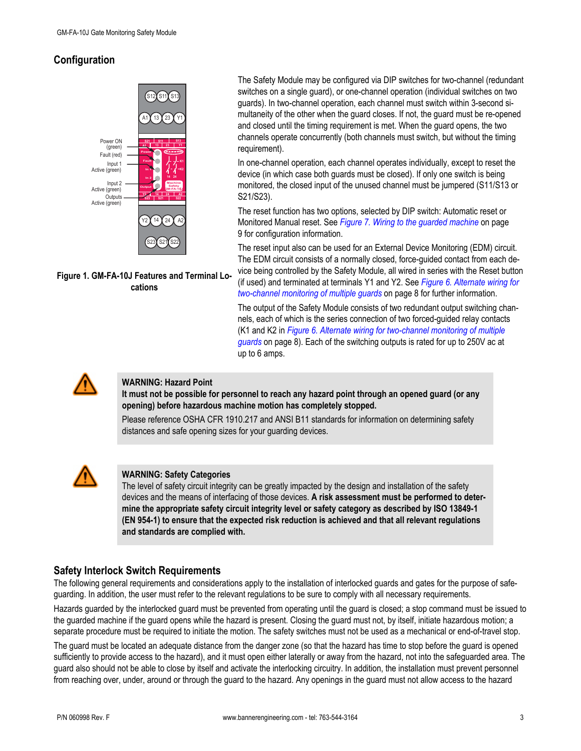## <span id="page-2-0"></span>**Configuration**



**Figure 1. GM-FA-10J Features and Terminal Locations**

The Safety Module may be configured via DIP switches for two-channel (redundant switches on a single guard), or one-channel operation (individual switches on two guards). In two-channel operation, each channel must switch within 3-second simultaneity of the other when the guard closes. If not, the guard must be re-opened and closed until the timing requirement is met. When the guard opens, the two channels operate concurrently (both channels must switch, but without the timing requirement).

In one-channel operation, each channel operates individually, except to reset the device (in which case both guards must be closed). If only one switch is being monitored, the closed input of the unused channel must be jumpered (S11/S13 or S21/S23).

The reset function has two options, selected by DIP switch: Automatic reset or Monitored Manual reset. See *[Figure 7. Wiring to the guarded machine](#page-8-0)* on page 9 for configuration information.

The reset input also can be used for an External Device Monitoring (EDM) circuit. The EDM circuit consists of a normally closed, force-guided contact from each device being controlled by the Safety Module, all wired in series with the Reset button

(if used) and terminated at terminals Y1 and Y2. See *[Figure 6. Alternate wiring for](#page-7-0) [two-channel monitoring of multiple guards](#page-7-0)* on page 8 for further information.

The output of the Safety Module consists of two redundant output switching channels, each of which is the series connection of two forced-guided relay contacts (K1 and K2 in *[Figure 6. Alternate wiring for two-channel monitoring of multiple](#page-7-0) [guards](#page-7-0)* on page 8). Each of the switching outputs is rated for up to 250V ac at up to 6 amps.



### **WARNING: Hazard Point**

**It must not be possible for personnel to reach any hazard point through an opened guard (or any opening) before hazardous machine motion has completely stopped.**

Please reference OSHA CFR 1910.217 and ANSI B11 standards for information on determining safety distances and safe opening sizes for your guarding devices.



### **WARNING: Safety Categories**

The level of safety circuit integrity can be greatly impacted by the design and installation of the safety devices and the means of interfacing of those devices. **A risk assessment must be performed to determine the appropriate safety circuit integrity level or safety category as described by ISO 13849-1 (EN 954-1) to ensure that the expected risk reduction is achieved and that all relevant regulations and standards are complied with.**

### **Safety Interlock Switch Requirements**

The following general requirements and considerations apply to the installation of interlocked guards and gates for the purpose of safeguarding. In addition, the user must refer to the relevant regulations to be sure to comply with all necessary requirements.

Hazards guarded by the interlocked guard must be prevented from operating until the guard is closed; a stop command must be issued to the guarded machine if the guard opens while the hazard is present. Closing the guard must not, by itself, initiate hazardous motion; a separate procedure must be required to initiate the motion. The safety switches must not be used as a mechanical or end-of-travel stop.

The guard must be located an adequate distance from the danger zone (so that the hazard has time to stop before the guard is opened sufficiently to provide access to the hazard), and it must open either laterally or away from the hazard, not into the safeguarded area. The guard also should not be able to close by itself and activate the interlocking circuitry. In addition, the installation must prevent personnel from reaching over, under, around or through the guard to the hazard. Any openings in the guard must not allow access to the hazard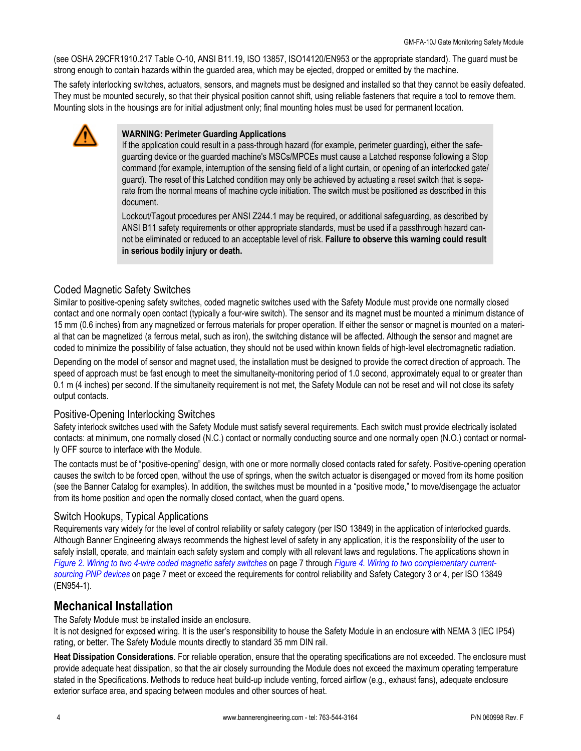<span id="page-3-0"></span>(see OSHA 29CFR1910.217 Table O-10, ANSI B11.19, ISO 13857, ISO14120/EN953 or the appropriate standard). The guard must be strong enough to contain hazards within the guarded area, which may be ejected, dropped or emitted by the machine.

The safety interlocking switches, actuators, sensors, and magnets must be designed and installed so that they cannot be easily defeated. They must be mounted securely, so that their physical position cannot shift, using reliable fasteners that require a tool to remove them. Mounting slots in the housings are for initial adjustment only; final mounting holes must be used for permanent location.



### **WARNING: Perimeter Guarding Applications**

If the application could result in a pass-through hazard (for example, perimeter guarding), either the safeguarding device or the guarded machine's MSCs/MPCEs must cause a Latched response following a Stop command (for example, interruption of the sensing field of a light curtain, or opening of an interlocked gate/ guard). The reset of this Latched condition may only be achieved by actuating a reset switch that is separate from the normal means of machine cycle initiation. The switch must be positioned as described in this document.

Lockout/Tagout procedures per ANSI Z244.1 may be required, or additional safeguarding, as described by ANSI B11 safety requirements or other appropriate standards, must be used if a passthrough hazard cannot be eliminated or reduced to an acceptable level of risk. **Failure to observe this warning could result in serious bodily injury or death.**

### Coded Magnetic Safety Switches

Similar to positive-opening safety switches, coded magnetic switches used with the Safety Module must provide one normally closed contact and one normally open contact (typically a four-wire switch). The sensor and its magnet must be mounted a minimum distance of 15 mm (0.6 inches) from any magnetized or ferrous materials for proper operation. If either the sensor or magnet is mounted on a material that can be magnetized (a ferrous metal, such as iron), the switching distance will be affected. Although the sensor and magnet are coded to minimize the possibility of false actuation, they should not be used within known fields of high-level electromagnetic radiation.

Depending on the model of sensor and magnet used, the installation must be designed to provide the correct direction of approach. The speed of approach must be fast enough to meet the simultaneity-monitoring period of 1.0 second, approximately equal to or greater than 0.1 m (4 inches) per second. If the simultaneity requirement is not met, the Safety Module can not be reset and will not close its safety output contacts.

### Positive-Opening Interlocking Switches

Safety interlock switches used with the Safety Module must satisfy several requirements. Each switch must provide electrically isolated contacts: at minimum, one normally closed (N.C.) contact or normally conducting source and one normally open (N.O.) contact or normally OFF source to interface with the Module.

The contacts must be of "positive-opening" design, with one or more normally closed contacts rated for safety. Positive-opening operation causes the switch to be forced open, without the use of springs, when the switch actuator is disengaged or moved from its home position (see the Banner Catalog for examples). In addition, the switches must be mounted in a "positive mode," to move/disengage the actuator from its home position and open the normally closed contact, when the guard opens.

### Switch Hookups, Typical Applications

Requirements vary widely for the level of control reliability or safety category (per ISO 13849) in the application of interlocked guards. Although Banner Engineering always recommends the highest level of safety in any application, it is the responsibility of the user to safely install, operate, and maintain each safety system and comply with all relevant laws and regulations. The applications shown in *[Figure 2. Wiring to two 4-wire coded magnetic safety switches](#page-6-0)* on page 7 through *[Figure 4. Wiring to two complementary current](#page-6-0)[sourcing PNP devices](#page-6-0)* on page 7 meet or exceed the requirements for control reliability and Safety Category 3 or 4, per ISO 13849 (EN954-1).

## **Mechanical Installation**

The Safety Module must be installed inside an enclosure.

It is not designed for exposed wiring. It is the user's responsibility to house the Safety Module in an enclosure with NEMA 3 (IEC IP54) rating, or better. The Safety Module mounts directly to standard 35 mm DIN rail.

**Heat Dissipation Considerations**. For reliable operation, ensure that the operating specifications are not exceeded. The enclosure must provide adequate heat dissipation, so that the air closely surrounding the Module does not exceed the maximum operating temperature stated in the Specifications. Methods to reduce heat build-up include venting, forced airflow (e.g., exhaust fans), adequate enclosure exterior surface area, and spacing between modules and other sources of heat.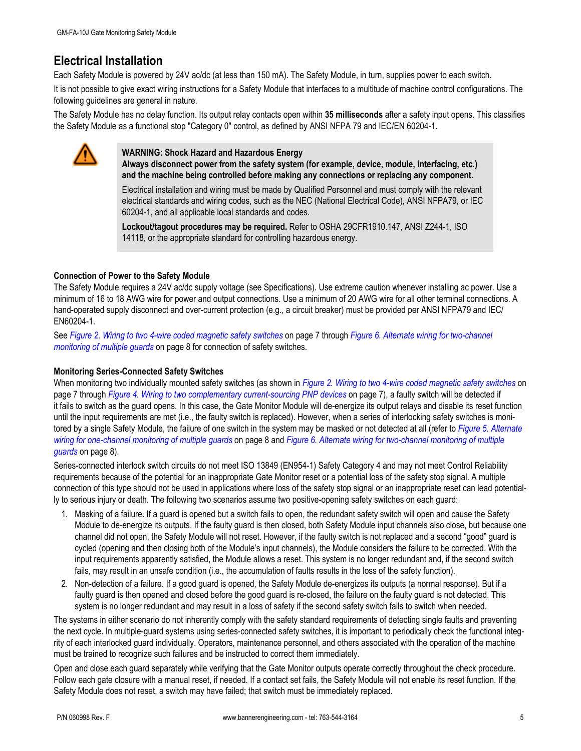## **Electrical Installation**

Each Safety Module is powered by 24V ac/dc (at less than 150 mA). The Safety Module, in turn, supplies power to each switch.

It is not possible to give exact wiring instructions for a Safety Module that interfaces to a multitude of machine control configurations. The following guidelines are general in nature.

The Safety Module has no delay function. Its output relay contacts open within **35 milliseconds** after a safety input opens. This classifies the Safety Module as a functional stop "Category 0" control, as defined by ANSI NFPA 79 and IEC/EN 60204-1.



### **WARNING: Shock Hazard and Hazardous Energy**

**Always disconnect power from the safety system (for example, device, module, interfacing, etc.) and the machine being controlled before making any connections or replacing any component.**

Electrical installation and wiring must be made by Qualified Personnel and must comply with the relevant electrical standards and wiring codes, such as the NEC (National Electrical Code), ANSI NFPA79, or IEC 60204-1, and all applicable local standards and codes.

**Lockout/tagout procedures may be required.** Refer to OSHA 29CFR1910.147, ANSI Z244-1, ISO 14118, or the appropriate standard for controlling hazardous energy.

### **Connection of Power to the Safety Module**

The Safety Module requires a 24V ac/dc supply voltage (see Specifications). Use extreme caution whenever installing ac power. Use a minimum of 16 to 18 AWG wire for power and output connections. Use a minimum of 20 AWG wire for all other terminal connections. A hand-operated supply disconnect and over-current protection (e.g., a circuit breaker) must be provided per ANSI NFPA79 and IEC/ EN60204-1.

See *[Figure 2. Wiring to two 4-wire coded magnetic safety switches](#page-6-0)* on page 7 through *[Figure 6. Alternate wiring for two-channel](#page-7-0) [monitoring of multiple guards](#page-7-0)* on page 8 for connection of safety switches.

### **Monitoring Series-Connected Safety Switches**

When monitoring two individually mounted safety switches (as shown in *[Figure 2. Wiring to two 4-wire coded magnetic safety switches](#page-6-0)* on page 7 through *[Figure 4. Wiring to two complementary current-sourcing PNP devices](#page-6-0)* on page 7), a faulty switch will be detected if it fails to switch as the guard opens. In this case, the Gate Monitor Module will de-energize its output relays and disable its reset function until the input requirements are met (i.e., the faulty switch is replaced). However, when a series of interlocking safety switches is monitored by a single Safety Module, the failure of one switch in the system may be masked or not detected at all (refer to *[Figure 5. Alternate](#page-7-0) [wiring for one-channel monitoring of multiple guards](#page-7-0)* on page 8 and *[Figure 6. Alternate wiring for two-channel monitoring of multiple](#page-7-0) [guards](#page-7-0)* on page 8).

Series-connected interlock switch circuits do not meet ISO 13849 (EN954-1) Safety Category 4 and may not meet Control Reliability requirements because of the potential for an inappropriate Gate Monitor reset or a potential loss of the safety stop signal. A multiple connection of this type should not be used in applications where loss of the safety stop signal or an inappropriate reset can lead potentially to serious injury or death. The following two scenarios assume two positive-opening safety switches on each guard:

- 1. Masking of a failure. If a guard is opened but a switch fails to open, the redundant safety switch will open and cause the Safety Module to de-energize its outputs. If the faulty guard is then closed, both Safety Module input channels also close, but because one channel did not open, the Safety Module will not reset. However, if the faulty switch is not replaced and a second "good" guard is cycled (opening and then closing both of the Module's input channels), the Module considers the failure to be corrected. With the input requirements apparently satisfied, the Module allows a reset. This system is no longer redundant and, if the second switch fails, may result in an unsafe condition (i.e., the accumulation of faults results in the loss of the safety function).
- 2. Non-detection of a failure. If a good guard is opened, the Safety Module de-energizes its outputs (a normal response). But if a faulty guard is then opened and closed before the good guard is re-closed, the failure on the faulty guard is not detected. This system is no longer redundant and may result in a loss of safety if the second safety switch fails to switch when needed.

The systems in either scenario do not inherently comply with the safety standard requirements of detecting single faults and preventing the next cycle. In multiple-guard systems using series-connected safety switches, it is important to periodically check the functional integrity of each interlocked guard individually. Operators, maintenance personnel, and others associated with the operation of the machine must be trained to recognize such failures and be instructed to correct them immediately.

Open and close each guard separately while verifying that the Gate Monitor outputs operate correctly throughout the check procedure. Follow each gate closure with a manual reset, if needed. If a contact set fails, the Safety Module will not enable its reset function. If the Safety Module does not reset, a switch may have failed; that switch must be immediately replaced.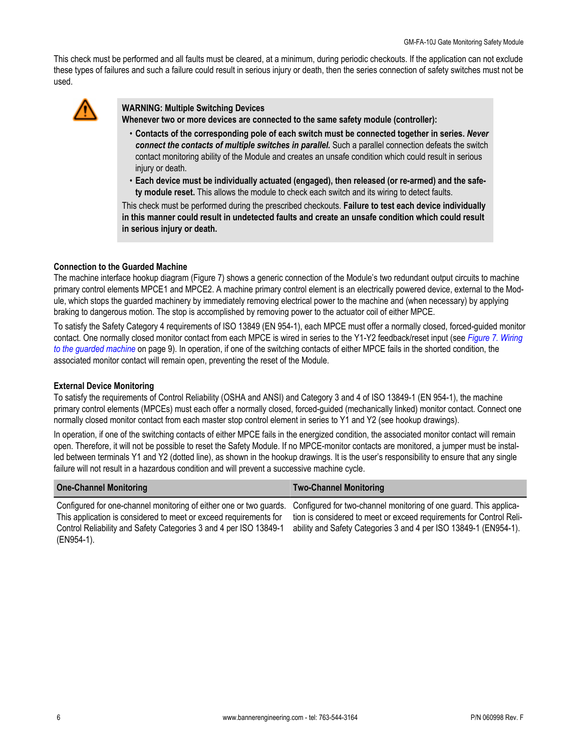This check must be performed and all faults must be cleared, at a minimum, during periodic checkouts. If the application can not exclude these types of failures and such a failure could result in serious injury or death, then the series connection of safety switches must not be used.



**WARNING: Multiple Switching Devices Whenever two or more devices are connected to the same safety module (controller):**

- **Contacts of the corresponding pole of each switch must be connected together in series.** *Never connect the contacts of multiple switches in parallel.* Such a parallel connection defeats the switch contact monitoring ability of the Module and creates an unsafe condition which could result in serious injury or death.
- **Each device must be individually actuated (engaged), then released (or re-armed) and the safety module reset.** This allows the module to check each switch and its wiring to detect faults.

This check must be performed during the prescribed checkouts. **Failure to test each device individually in this manner could result in undetected faults and create an unsafe condition which could result in serious injury or death.**

### **Connection to the Guarded Machine**

The machine interface hookup diagram (Figure 7) shows a generic connection of the Module's two redundant output circuits to machine primary control elements MPCE1 and MPCE2. A machine primary control element is an electrically powered device, external to the Module, which stops the guarded machinery by immediately removing electrical power to the machine and (when necessary) by applying braking to dangerous motion. The stop is accomplished by removing power to the actuator coil of either MPCE.

To satisfy the Safety Category 4 requirements of ISO 13849 (EN 954-1), each MPCE must offer a normally closed, forced-guided monitor contact. One normally closed monitor contact from each MPCE is wired in series to the Y1-Y2 feedback/reset input (see *[Figure 7. Wiring](#page-8-0) [to the guarded machine](#page-8-0)* on page 9). In operation, if one of the switching contacts of either MPCE fails in the shorted condition, the associated monitor contact will remain open, preventing the reset of the Module.

### **External Device Monitoring**

To satisfy the requirements of Control Reliability (OSHA and ANSI) and Category 3 and 4 of ISO 13849-1 (EN 954-1), the machine primary control elements (MPCEs) must each offer a normally closed, forced-guided (mechanically linked) monitor contact. Connect one normally closed monitor contact from each master stop control element in series to Y1 and Y2 (see hookup drawings).

In operation, if one of the switching contacts of either MPCE fails in the energized condition, the associated monitor contact will remain open. Therefore, it will not be possible to reset the Safety Module. If no MPCE-monitor contacts are monitored, a jumper must be installed between terminals Y1 and Y2 (dotted line), as shown in the hookup drawings. It is the user's responsibility to ensure that any single failure will not result in a hazardous condition and will prevent a successive machine cycle.

| <b>One-Channel Monitoring</b>                                                                                                        | <b>Two-Channel Monitoring</b>                                       |
|--------------------------------------------------------------------------------------------------------------------------------------|---------------------------------------------------------------------|
| Configured for one-channel monitoring of either one or two guards. Configured for two-channel monitoring of one guard. This applica- |                                                                     |
| This application is considered to meet or exceed requirements for                                                                    | tion is considered to meet or exceed requirements for Control Reli- |
| Control Reliability and Safety Categories 3 and 4 per ISO 13849-1                                                                    | ability and Safety Categories 3 and 4 per ISO 13849-1 (EN954-1).    |

(EN954-1).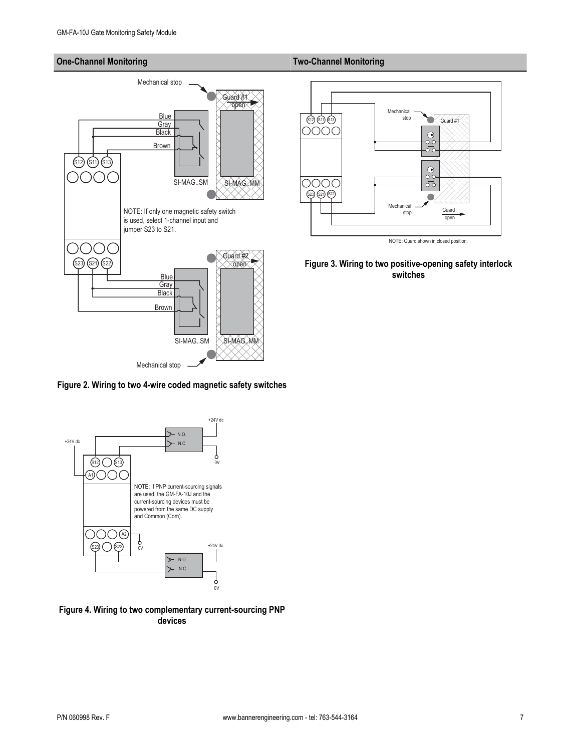### <span id="page-6-0"></span>**One-Channel Monitoring Two-Channel Monitoring**



**Figure 2. Wiring to two 4-wire coded magnetic safety switches**



**Figure 4. Wiring to two complementary current-sourcing PNP devices**



**Figure 3. Wiring to two positive-opening safety interlock switches**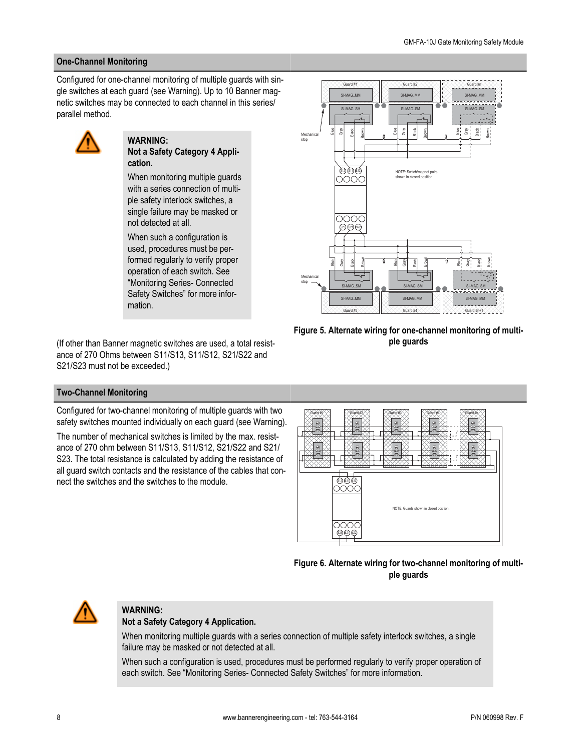### <span id="page-7-0"></span>**One-Channel Monitoring**

Configured for one-channel monitoring of multiple guards with single switches at each guard (see Warning). Up to 10 Banner magnetic switches may be connected to each channel in this series/ parallel method.



### **WARNING: Not a Safety Category 4 Application.**

When monitoring multiple guards with a series connection of multiple safety interlock switches, a single failure may be masked or not detected at all.

When such a configuration is used, procedures must be performed regularly to verify proper operation of each switch. See "Monitoring Series- Connected Safety Switches" for more information.

(If other than Banner magnetic switches are used, a total resistance of 270 Ohms between S11/S13, S11/S12, S21/S22 and S21/S23 must not be exceeded.)



**Figure 5. Alternate wiring for one-channel monitoring of multiple guards**

### **Two-Channel Monitoring**

Configured for two-channel monitoring of multiple guards with two safety switches mounted individually on each guard (see Warning).

The number of mechanical switches is limited by the max. resistance of 270 ohm between S11/S13, S11/S12, S21/S22 and S21/ S23. The total resistance is calculated by adding the resistance of all guard switch contacts and the resistance of the cables that connect the switches and the switches to the module.







## **WARNING:**

### **Not a Safety Category 4 Application.**

When monitoring multiple guards with a series connection of multiple safety interlock switches, a single failure may be masked or not detected at all.

When such a configuration is used, procedures must be performed regularly to verify proper operation of each switch. See "Monitoring Series- Connected Safety Switches" for more information.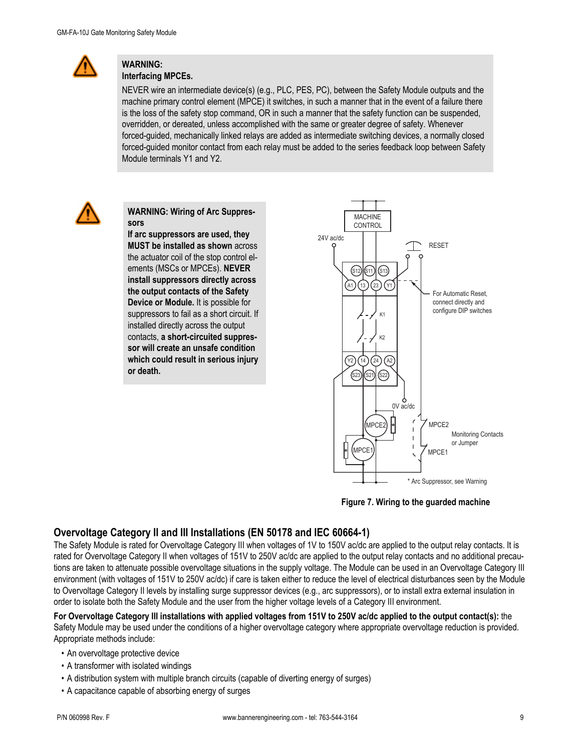<span id="page-8-0"></span>

# **WARNING:**

**Interfacing MPCEs.**

NEVER wire an intermediate device(s) (e.g., PLC, PES, PC), between the Safety Module outputs and the machine primary control element (MPCE) it switches, in such a manner that in the event of a failure there is the loss of the safety stop command, OR in such a manner that the safety function can be suspended, overridden, or dereated, unless accomplished with the same or greater degree of safety. Whenever forced-guided, mechanically linked relays are added as intermediate switching devices, a normally closed forced-guided monitor contact from each relay must be added to the series feedback loop between Safety Module terminals Y1 and Y2.



**WARNING: Wiring of Arc Suppressors**

**If arc suppressors are used, they MUST be installed as shown** across the actuator coil of the stop control elements (MSCs or MPCEs). **NEVER install suppressors directly across the output contacts of the Safety Device or Module.** It is possible for suppressors to fail as a short circuit. If installed directly across the output contacts, **a short-circuited suppressor will create an unsafe condition which could result in serious injury or death.**





## **Overvoltage Category II and III Installations (EN 50178 and IEC 60664-1)**

The Safety Module is rated for Overvoltage Category III when voltages of 1V to 150V ac/dc are applied to the output relay contacts. It is rated for Overvoltage Category II when voltages of 151V to 250V ac/dc are applied to the output relay contacts and no additional precautions are taken to attenuate possible overvoltage situations in the supply voltage. The Module can be used in an Overvoltage Category III environment (with voltages of 151V to 250V ac/dc) if care is taken either to reduce the level of electrical disturbances seen by the Module to Overvoltage Category II levels by installing surge suppressor devices (e.g., arc suppressors), or to install extra external insulation in order to isolate both the Safety Module and the user from the higher voltage levels of a Category III environment.

**For Overvoltage Category III installations with applied voltages from 151V to 250V ac/dc applied to the output contact(s):** the Safety Module may be used under the conditions of a higher overvoltage category where appropriate overvoltage reduction is provided. Appropriate methods include:

- An overvoltage protective device
- A transformer with isolated windings
- A distribution system with multiple branch circuits (capable of diverting energy of surges)
- A capacitance capable of absorbing energy of surges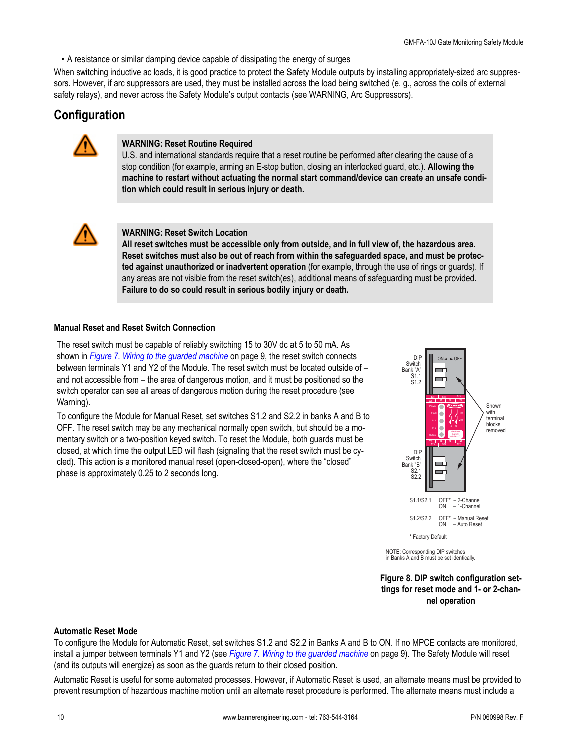<span id="page-9-0"></span>• A resistance or similar damping device capable of dissipating the energy of surges

When switching inductive ac loads, it is good practice to protect the Safety Module outputs by installing appropriately-sized arc suppressors. However, if arc suppressors are used, they must be installed across the load being switched (e. g., across the coils of external safety relays), and never across the Safety Module's output contacts (see WARNING, Arc Suppressors).

## **Configuration**



### **WARNING: Reset Routine Required**

U.S. and international standards require that a reset routine be performed after clearing the cause of a stop condition (for example, arming an E-stop button, closing an interlocked guard, etc.). **Allowing the machine to restart without actuating the normal start command/device can create an unsafe condition which could result in serious injury or death.**



### **WARNING: Reset Switch Location**

**All reset switches must be accessible only from outside, and in full view of, the hazardous area. Reset switches must also be out of reach from within the safeguarded space, and must be protected against unauthorized or inadvertent operation** (for example, through the use of rings or guards). If any areas are not visible from the reset switch(es), additional means of safeguarding must be provided. **Failure to do so could result in serious bodily injury or death.**

### **Manual Reset and Reset Switch Connection**

The reset switch must be capable of reliably switching 15 to 30V dc at 5 to 50 mA. As shown in *[Figure 7. Wiring to the guarded machine](#page-8-0)* on page 9, the reset switch connects between terminals Y1 and Y2 of the Module. The reset switch must be located outside of – and not accessible from – the area of dangerous motion, and it must be positioned so the switch operator can see all areas of dangerous motion during the reset procedure (see Warning).

To configure the Module for Manual Reset, set switches S1.2 and S2.2 in banks A and B to OFF. The reset switch may be any mechanical normally open switch, but should be a momentary switch or a two-position keyed switch. To reset the Module, both guards must be closed, at which time the output LED will flash (signaling that the reset switch must be cycled). This action is a monitored manual reset (open-closed-open), where the "closed" phase is approximately 0.25 to 2 seconds long.



NOTE: Corresponding DIP switches in Banks A and B must be set identically.

**Figure 8. DIP switch configuration settings for reset mode and 1- or 2-channel operation**

### **Automatic Reset Mode**

To configure the Module for Automatic Reset, set switches S1.2 and S2.2 in Banks A and B to ON. If no MPCE contacts are monitored, install a jumper between terminals Y1 and Y2 (see *[Figure 7. Wiring to the guarded machine](#page-8-0)* on page 9). The Safety Module will reset (and its outputs will energize) as soon as the guards return to their closed position.

Automatic Reset is useful for some automated processes. However, if Automatic Reset is used, an alternate means must be provided to prevent resumption of hazardous machine motion until an alternate reset procedure is performed. The alternate means must include a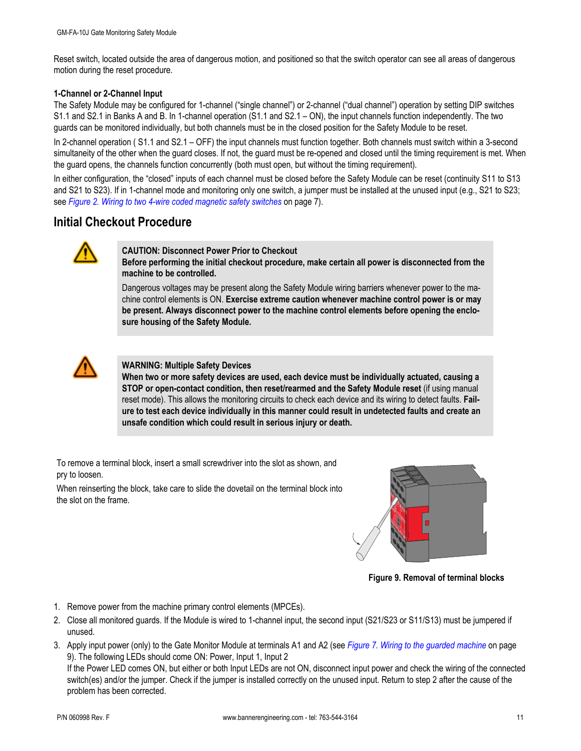Reset switch, located outside the area of dangerous motion, and positioned so that the switch operator can see all areas of dangerous motion during the reset procedure.

### **1-Channel or 2-Channel Input**

The Safety Module may be configured for 1-channel ("single channel") or 2-channel ("dual channel") operation by setting DIP switches S1.1 and S2.1 in Banks A and B. In 1-channel operation (S1.1 and S2.1 – ON), the input channels function independently. The two guards can be monitored individually, but both channels must be in the closed position for the Safety Module to be reset.

In 2-channel operation ( S1.1 and S2.1 – OFF) the input channels must function together. Both channels must switch within a 3-second simultaneity of the other when the guard closes. If not, the guard must be re-opened and closed until the timing requirement is met. When the guard opens, the channels function concurrently (both must open, but without the timing requirement).

In either configuration, the "closed" inputs of each channel must be closed before the Safety Module can be reset (continuity S11 to S13 and S21 to S23). If in 1-channel mode and monitoring only one switch, a jumper must be installed at the unused input (e.g., S21 to S23; see *[Figure 2. Wiring to two 4-wire coded magnetic safety switches](#page-6-0)* on page 7).

## **Initial Checkout Procedure**



### **CAUTION: Disconnect Power Prior to Checkout**

**Before performing the initial checkout procedure, make certain all power is disconnected from the machine to be controlled.**

Dangerous voltages may be present along the Safety Module wiring barriers whenever power to the machine control elements is ON. **Exercise extreme caution whenever machine control power is or may be present. Always disconnect power to the machine control elements before opening the enclosure housing of the Safety Module.**



### **WARNING: Multiple Safety Devices**

**When two or more safety devices are used, each device must be individually actuated, causing a STOP or open-contact condition, then reset/rearmed and the Safety Module reset** (if using manual reset mode). This allows the monitoring circuits to check each device and its wiring to detect faults. **Failure to test each device individually in this manner could result in undetected faults and create an unsafe condition which could result in serious injury or death.**

To remove a terminal block, insert a small screwdriver into the slot as shown, and pry to loosen.

When reinserting the block, take care to slide the dovetail on the terminal block into the slot on the frame.



**Figure 9. Removal of terminal blocks**

- 1. Remove power from the machine primary control elements (MPCEs).
- 2. Close all monitored guards. If the Module is wired to 1-channel input, the second input (S21/S23 or S11/S13) must be jumpered if unused.
- 3. Apply input power (only) to the Gate Monitor Module at terminals A1 and A2 (see *[Figure 7. Wiring to the guarded machine](#page-8-0)* on page 9). The following LEDs should come ON: Power, Input 1, Input 2

If the Power LED comes ON, but either or both Input LEDs are not ON, disconnect input power and check the wiring of the connected switch(es) and/or the jumper. Check if the jumper is installed correctly on the unused input. Return to step 2 after the cause of the problem has been corrected.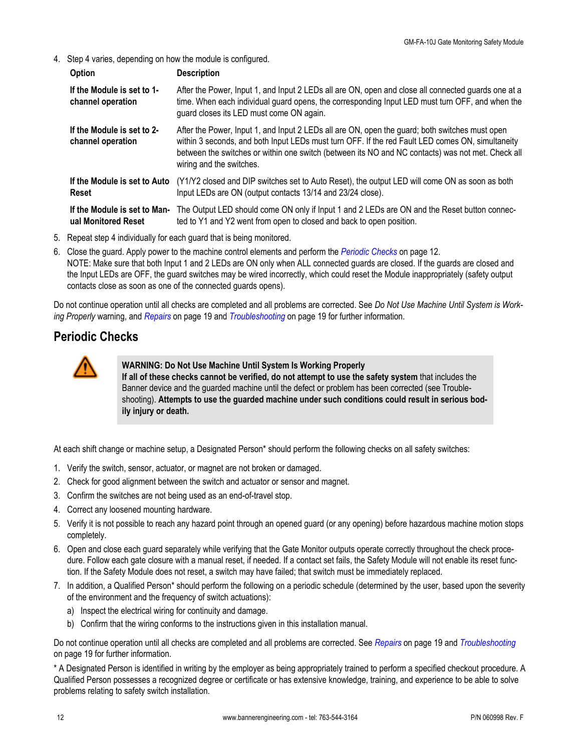4. Step 4 varies, depending on how the module is configured.

| <b>Option</b>                                       | <b>Description</b>                                                                                                                                                                                                                                                                                                                  |
|-----------------------------------------------------|-------------------------------------------------------------------------------------------------------------------------------------------------------------------------------------------------------------------------------------------------------------------------------------------------------------------------------------|
| If the Module is set to 1-<br>channel operation     | After the Power, Input 1, and Input 2 LEDs all are ON, open and close all connected guards one at a<br>time. When each individual guard opens, the corresponding Input LED must turn OFF, and when the<br>guard closes its LED must come ON again.                                                                                  |
| If the Module is set to 2-<br>channel operation     | After the Power, Input 1, and Input 2 LEDs all are ON, open the guard; both switches must open<br>within 3 seconds, and both Input LEDs must turn OFF. If the red Fault LED comes ON, simultaneity<br>between the switches or within one switch (between its NO and NC contacts) was not met. Check all<br>wiring and the switches. |
| If the Module is set to Auto<br>Reset               | (Y1/Y2 closed and DIP switches set to Auto Reset), the output LED will come ON as soon as both<br>Input LEDs are ON (output contacts 13/14 and 23/24 close).                                                                                                                                                                        |
| If the Module is set to Man-<br>ual Monitored Reset | The Output LED should come ON only if lnput 1 and 2 LEDs are ON and the Reset button connec-<br>ted to Y1 and Y2 went from open to closed and back to open position.                                                                                                                                                                |

5. Repeat step 4 individually for each guard that is being monitored.

6. Close the guard. Apply power to the machine control elements and perform the *Periodic Checks* on page 12. NOTE: Make sure that both Input 1 and 2 LEDs are ON only when ALL connected guards are closed. If the guards are closed and the Input LEDs are OFF, the guard switches may be wired incorrectly, which could reset the Module inappropriately (safety output contacts close as soon as one of the connected guards opens).

Do not continue operation until all checks are completed and all problems are corrected. See *Do Not Use Machine Until System is Working Properly* warning, and *[Repairs](#page-18-0)* on page 19 and *[Troubleshooting](#page-18-0)* on page 19 for further information.

## **Periodic Checks**



### **WARNING: Do Not Use Machine Until System Is Working Properly**

**If all of these checks cannot be verified, do not attempt to use the safety system** that includes the Banner device and the guarded machine until the defect or problem has been corrected (see Troubleshooting). **Attempts to use the guarded machine under such conditions could result in serious bodily injury or death.**

At each shift change or machine setup, a Designated Person\* should perform the following checks on all safety switches:

- 1. Verify the switch, sensor, actuator, or magnet are not broken or damaged.
- 2. Check for good alignment between the switch and actuator or sensor and magnet.
- 3. Confirm the switches are not being used as an end-of-travel stop.
- 4. Correct any loosened mounting hardware.
- 5. Verify it is not possible to reach any hazard point through an opened guard (or any opening) before hazardous machine motion stops completely.
- 6. Open and close each guard separately while verifying that the Gate Monitor outputs operate correctly throughout the check procedure. Follow each gate closure with a manual reset, if needed. If a contact set fails, the Safety Module will not enable its reset function. If the Safety Module does not reset, a switch may have failed; that switch must be immediately replaced.
- 7. In addition, a Qualified Person\* should perform the following on a periodic schedule (determined by the user, based upon the severity of the environment and the frequency of switch actuations):
	- a) Inspect the electrical wiring for continuity and damage.
	- b) Confirm that the wiring conforms to the instructions given in this installation manual.

Do not continue operation until all checks are completed and all problems are corrected. See *[Repairs](#page-18-0)* on page 19 and *[Troubleshooting](#page-18-0)* on page 19 for further information.

\* A Designated Person is identified in writing by the employer as being appropriately trained to perform a specified checkout procedure. A Qualified Person possesses a recognized degree or certificate or has extensive knowledge, training, and experience to be able to solve problems relating to safety switch installation.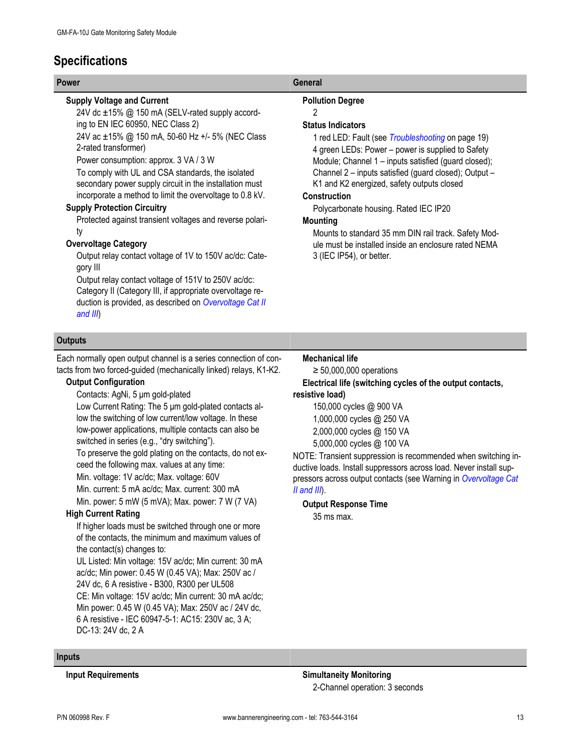# **Specifications**

### **Supply Voltage and Current**

24V dc ±15% @ 150 mA (SELV-rated supply according to EN IEC 60950, NEC Class 2)

24V ac ±15% @ 150 mA, 50-60 Hz +/- 5% (NEC Class 2-rated transformer)

Power consumption: approx. 3 VA / 3 W

To comply with UL and CSA standards, the isolated secondary power supply circuit in the installation must incorporate a method to limit the overvoltage to 0.8 kV.

### **Supply Protection Circuitry**

Protected against transient voltages and reverse polarity

### **Overvoltage Category**

Output relay contact voltage of 1V to 150V ac/dc: Category III

Output relay contact voltage of 151V to 250V ac/dc: Category II (Category III, if appropriate overvoltage reduction is provided, as described on *[Overvoltage Cat II](#page-8-0) [and III](#page-8-0)*)

### **Outputs**

Each normally open output channel is a series connection of contacts from two forced-guided (mechanically linked) relays, K1-K2.

### **Output Configuration**

Contacts: AgNi, 5 μm gold-plated

Low Current Rating: The 5 μm gold-plated contacts allow the switching of low current/low voltage. In these low-power applications, multiple contacts can also be switched in series (e.g., "dry switching").

To preserve the gold plating on the contacts, do not exceed the following max. values at any time:

Min. voltage: 1V ac/dc; Max. voltage: 60V

Min. current: 5 mA ac/dc; Max. current: 300 mA

Min. power: 5 mW (5 mVA); Max. power: 7 W (7 VA)

### **High Current Rating**

If higher loads must be switched through one or more of the contacts, the minimum and maximum values of the contact(s) changes to:

UL Listed: Min voltage: 15V ac/dc; Min current: 30 mA ac/dc; Min power: 0.45 W (0.45 VA); Max: 250V ac / 24V dc, 6 A resistive - B300, R300 per UL508 CE: Min voltage: 15V ac/dc; Min current: 30 mA ac/dc; Min power: 0.45 W (0.45 VA); Max: 250V ac / 24V dc, 6 A resistive - IEC 60947-5-1: AC15: 230V ac, 3 A; DC-13: 24V dc, 2 A

### **Power General**

### **Pollution Degree**

### 2

### **Status Indicators**

1 red LED: Fault (see *[Troubleshooting](#page-18-0)* on page 19) 4 green LEDs: Power – power is supplied to Safety Module; Channel 1 – inputs satisfied (guard closed); Channel 2 – inputs satisfied (guard closed); Output – K1 and K2 energized, safety outputs closed

### **Construction**

Polycarbonate housing. Rated IEC IP20

### **Mounting**

Mounts to standard 35 mm DIN rail track. Safety Module must be installed inside an enclosure rated NEMA 3 (IEC IP54), or better.

### **Mechanical life**

 $\geq 50,000,000$  operations **Electrical life (switching cycles of the output contacts, resistive load)**

150,000 cycles @ 900 VA 1,000,000 cycles @ 250 VA 2,000,000 cycles @ 150 VA 5,000,000 cycles @ 100 VA

NOTE: Transient suppression is recommended when switching inductive loads. Install suppressors across load. Never install suppressors across output contacts (see Warning in *[Overvoltage Cat](#page-8-0) [II and III](#page-8-0)*).

### **Output Response Time**

35 ms max.

### **Inputs**

**Input Requirements Simultaneity Monitoring** 2-Channel operation: 3 seconds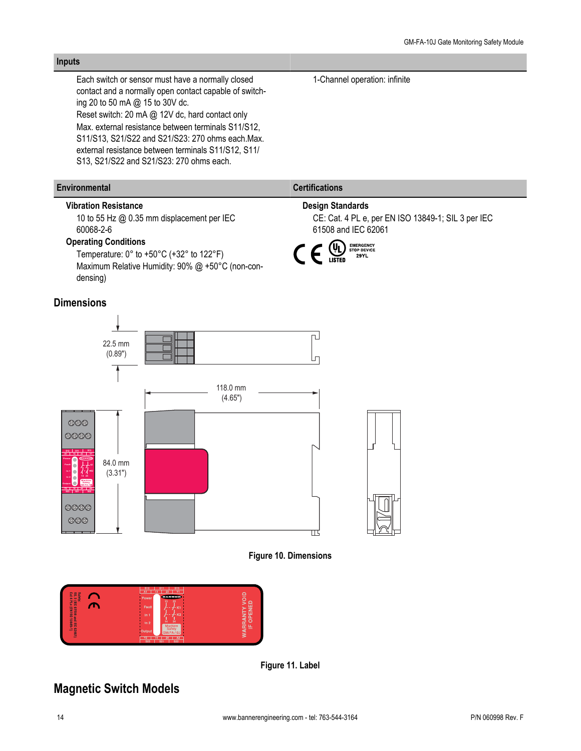### Each switch or sensor must have a normally closed 1-Channel operation: infinite contact and a normally open contact capable of switching 20 to 50 mA @ 15 to 30V dc. Reset switch: 20 mA @ 12V dc, hard contact only Max. external resistance between terminals S11/S12, S11/S13, S21/S22 and S21/S23: 270 ohms each.Max. external resistance between terminals S11/S12, S11/ S13, S21/S22 and S21/S23: 270 ohms each. **Environmental Certifications Vibration Resistance Design Standards** 10 to 55 Hz @ 0.35 mm displacement per IEC CE: Cat. 4 PL e, per EN ISO 13849-1; SIL 3 per IEC 60068-2-6 61508 and IEC 62061 **Operating Conditions** EMERGENCY<br>STOP DEVICE<br>29YL  $C \in \mathbb{Q}$ Temperature: 0° to +50°C (+32° to 122°F) Maximum Relative Humidity: 90% @ +50°C (non-condensing) **Dimensions** гJ 22.5 mm (0.89") Lп 118.0 mm (4.65")  $\otimes \otimes \otimes$ 8888 **S11 S13 S12 13 23 Y1 A1** 84.0 mm **Fault K1** (3.31") **In 1 K2 14 24 In 2 Machine Safety Output GM-FA-10I Y2 14 24 A2 S23 S21 S22** 0000



冚



**Figure 11. Label**

# **Magnetic Switch Models**

000

**Inputs**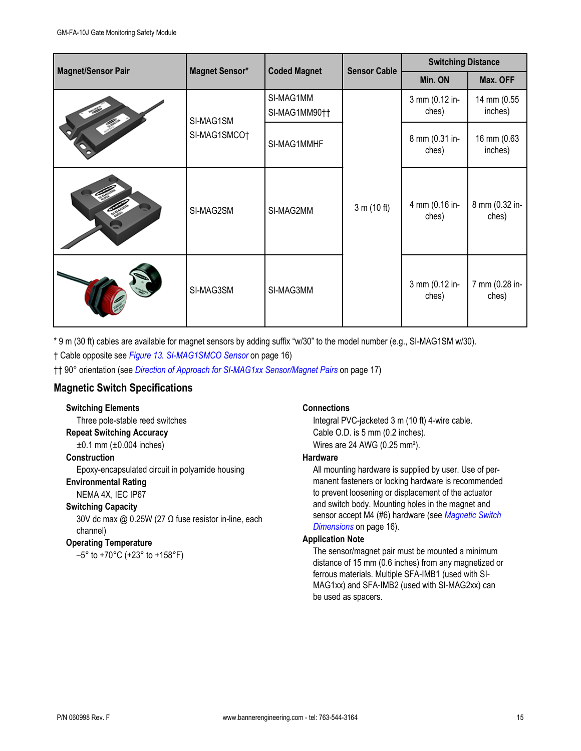| <b>Magnet/Sensor Pair</b> |                       |                            | <b>Sensor Cable</b> | <b>Switching Distance</b> |                         |
|---------------------------|-----------------------|----------------------------|---------------------|---------------------------|-------------------------|
|                           | <b>Magnet Sensor*</b> | <b>Coded Magnet</b>        |                     | Min. ON                   | Max. OFF                |
| SI-MAG1SM<br>SI-MAG1SMCO† |                       | SI-MAG1MM<br>SI-MAG1MM90†† |                     | 3 mm (0.12 in-<br>ches)   | 14 mm (0.55<br>inches)  |
|                           |                       | SI-MAG1MMHF                |                     | 8 mm (0.31 in-<br>ches)   | 16 mm (0.63<br>inches)  |
|                           | SI-MAG2SM             | SI-MAG2MM                  | 3 m (10 ft)         | 4 mm (0.16 in-<br>ches)   | 8 mm (0.32 in-<br>ches) |
|                           | SI-MAG3SM             | SI-MAG3MM                  |                     | 3 mm (0.12 in-<br>ches)   | 7 mm (0.28 in-<br>ches) |

\* 9 m (30 ft) cables are available for magnet sensors by adding suffix "w/30" to the model number (e.g., SI-MAG1SM w/30).

† Cable opposite see *[Figure 13. SI-MAG1SMCO Sensor](#page-15-0)* on page 16)

†† 90° orientation (see *[Direction of Approach for SI-MAG1xx Sensor/Magnet Pairs](#page-16-0)* on page 17)

### **Magnetic Switch Specifications**

### **Switching Elements**

Three pole-stable reed switches **Repeat Switching Accuracy**  $±0.1$  mm ( $±0.004$  inches)

### **Construction**

Epoxy-encapsulated circuit in polyamide housing

### **Environmental Rating**

NEMA 4X, IEC IP67

### **Switching Capacity**

30V dc max @ 0.25W (27 Ω fuse resistor in-line, each channel)

### **Operating Temperature**

–5° to +70°C (+23° to +158°F)

### **Connections**

Integral PVC-jacketed 3 m (10 ft) 4-wire cable. Cable O.D. is 5 mm (0.2 inches). Wires are 24 AWG (0.25 mm²).

### **Hardware**

All mounting hardware is supplied by user. Use of permanent fasteners or locking hardware is recommended to prevent loosening or displacement of the actuator and switch body. Mounting holes in the magnet and sensor accept M4 (#6) hardware (see *[Magnetic Switch](#page-15-0) [Dimensions](#page-15-0)* on page 16).

### **Application Note**

The sensor/magnet pair must be mounted a minimum distance of 15 mm (0.6 inches) from any magnetized or ferrous materials. Multiple SFA-IMB1 (used with SI-MAG1xx) and SFA-IMB2 (used with SI-MAG2xx) can be used as spacers.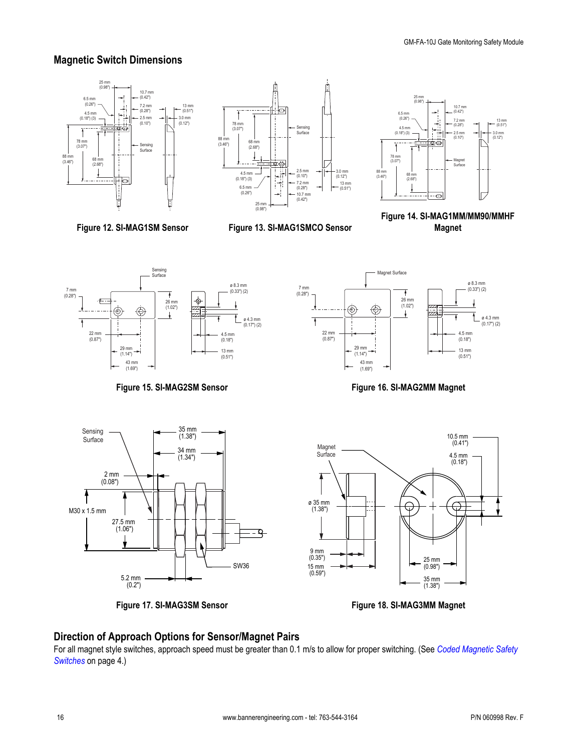### <span id="page-15-0"></span>**Magnetic Switch Dimensions**





**Figure 12. SI-MAG1SM Sensor**



13 mm (0.51")

3.0 mm (0.12")





**Figure 15. SI-MAG2SM Sensor**



**Figure 16. SI-MAG2MM Magnet**



**Figure 17. SI-MAG3SM Sensor**



**Figure 18. SI-MAG3MM Magnet**

## **Direction of Approach Options for Sensor/Magnet Pairs**

For all magnet style switches, approach speed must be greater than 0.1 m/s to allow for proper switching. (See *[Coded Magnetic Safety](#page-3-0) [Switches](#page-3-0)* on page 4.)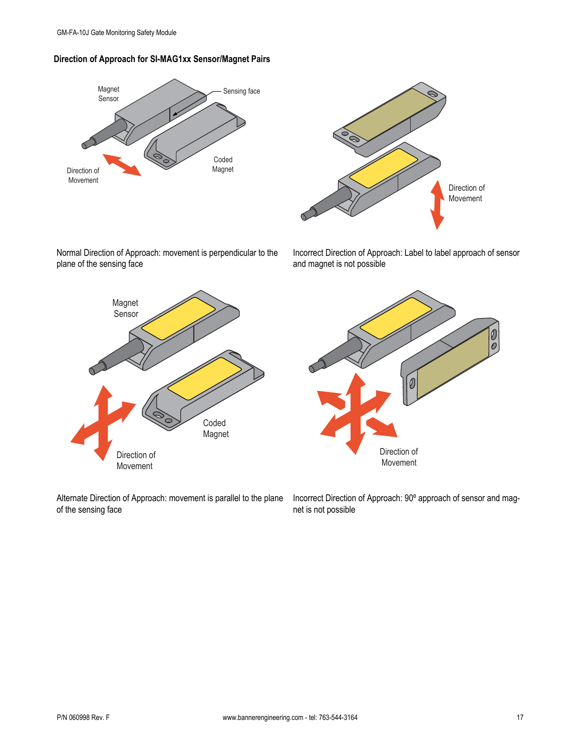<span id="page-16-0"></span>





Normal Direction of Approach: movement is perpendicular to the plane of the sensing face

Incorrect Direction of Approach: Label to label approach of sensor and magnet is not possible







Incorrect Direction of Approach: 90º approach of sensor and magnet is not possible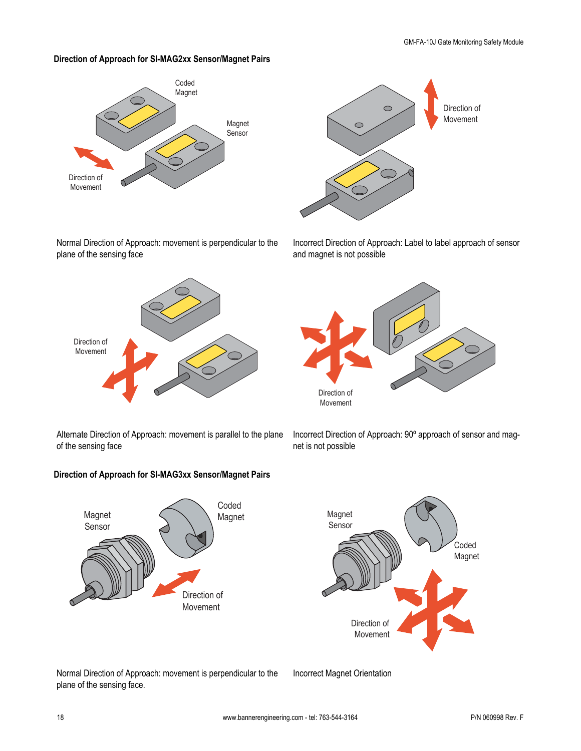## **Direction of Approach for SI-MAG2xx Sensor/Magnet Pairs**



Normal Direction of Approach: movement is perpendicular to the plane of the sensing face



Alternate Direction of Approach: movement is parallel to the plane of the sensing face

### **Direction of Approach for SI-MAG3xx Sensor/Magnet Pairs**





Incorrect Direction of Approach: Label to label approach of sensor and magnet is not possible



Incorrect Direction of Approach: 90º approach of sensor and magnet is not possible



Normal Direction of Approach: movement is perpendicular to the plane of the sensing face.

Incorrect Magnet Orientation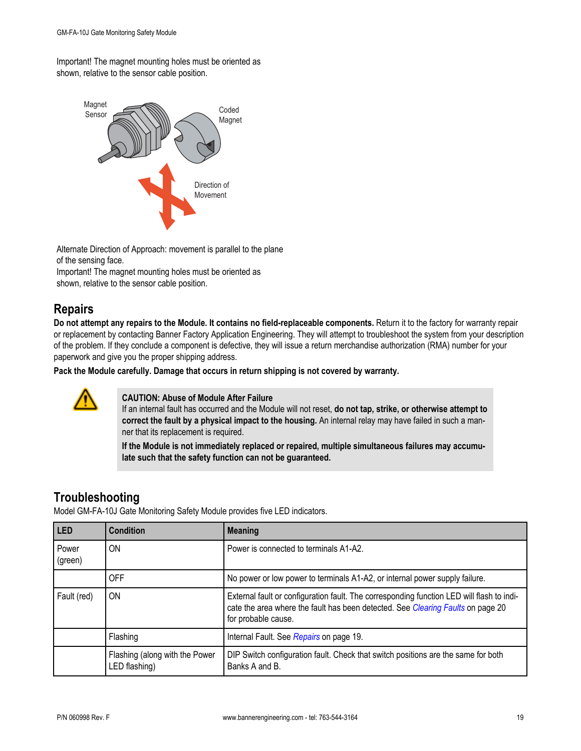<span id="page-18-0"></span>Important! The magnet mounting holes must be oriented as shown, relative to the sensor cable position.



Alternate Direction of Approach: movement is parallel to the plane of the sensing face.

Important! The magnet mounting holes must be oriented as shown, relative to the sensor cable position.

## **Repairs**

**Do not attempt any repairs to the Module. It contains no field-replaceable components.** Return it to the factory for warranty repair or replacement by contacting Banner Factory Application Engineering. They will attempt to troubleshoot the system from your description of the problem. If they conclude a component is defective, they will issue a return merchandise authorization (RMA) number for your paperwork and give you the proper shipping address.

**Pack the Module carefully. Damage that occurs in return shipping is not covered by warranty.**



### **CAUTION: Abuse of Module After Failure**

If an internal fault has occurred and the Module will not reset, **do not tap, strike, or otherwise attempt to correct the fault by a physical impact to the housing.** An internal relay may have failed in such a manner that its replacement is required.

**If the Module is not immediately replaced or repaired, multiple simultaneous failures may accumulate such that the safety function can not be guaranteed.**

## **Troubleshooting**

Model GM-FA-10J Gate Monitoring Safety Module provides five LED indicators.

| LED              | <b>Condition</b>                                | <b>Meaning</b>                                                                                                                                                                                      |
|------------------|-------------------------------------------------|-----------------------------------------------------------------------------------------------------------------------------------------------------------------------------------------------------|
| Power<br>(green) | ON                                              | Power is connected to terminals A1-A2.                                                                                                                                                              |
|                  | <b>OFF</b>                                      | No power or low power to terminals A1-A2, or internal power supply failure.                                                                                                                         |
| Fault (red)      | 0N                                              | External fault or configuration fault. The corresponding function LED will flash to indi-<br>cate the area where the fault has been detected. See Clearing Faults on page 20<br>for probable cause. |
|                  | Flashing                                        | Internal Fault. See Repairs on page 19.                                                                                                                                                             |
|                  | Flashing (along with the Power<br>LED flashing) | DIP Switch configuration fault. Check that switch positions are the same for both<br>Banks A and B.                                                                                                 |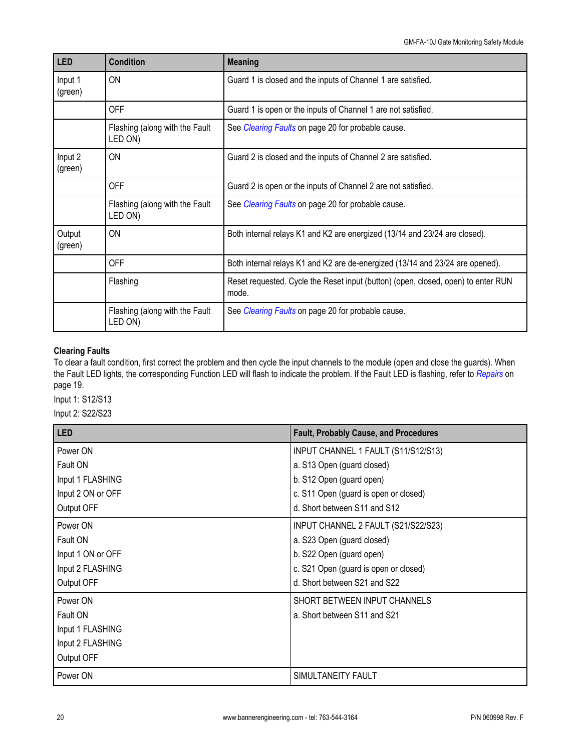<span id="page-19-0"></span>

| LED                | <b>Condition</b>                          | <b>Meaning</b>                                                                             |
|--------------------|-------------------------------------------|--------------------------------------------------------------------------------------------|
| Input 1<br>(green) | ON                                        | Guard 1 is closed and the inputs of Channel 1 are satisfied.                               |
|                    | OFF                                       | Guard 1 is open or the inputs of Channel 1 are not satisfied.                              |
|                    | Flashing (along with the Fault<br>LED ON) | See Clearing Faults on page 20 for probable cause.                                         |
| Input 2<br>(green) | ON                                        | Guard 2 is closed and the inputs of Channel 2 are satisfied.                               |
|                    | <b>OFF</b>                                | Guard 2 is open or the inputs of Channel 2 are not satisfied.                              |
|                    | Flashing (along with the Fault<br>LED ON) | See <i>Clearing Faults</i> on page 20 for probable cause.                                  |
| Output<br>(green)  | ON                                        | Both internal relays K1 and K2 are energized (13/14 and 23/24 are closed).                 |
|                    | <b>OFF</b>                                | Both internal relays K1 and K2 are de-energized (13/14 and 23/24 are opened).              |
|                    | Flashing                                  | Reset requested. Cycle the Reset input (button) (open, closed, open) to enter RUN<br>mode. |
|                    | Flashing (along with the Fault<br>LED ON) | See Clearing Faults on page 20 for probable cause.                                         |

### **Clearing Faults**

To clear a fault condition, first correct the problem and then cycle the input channels to the module (open and close the guards). When the Fault LED lights, the corresponding Function LED will flash to indicate the problem. If the Fault LED is flashing, refer to *[Repairs](#page-18-0)* on page 19.

Input 1: S12/S13

Input 2: S22/S23

| LED               | <b>Fault, Probably Cause, and Procedures</b> |
|-------------------|----------------------------------------------|
| Power ON          | INPUT CHANNEL 1 FAULT (S11/S12/S13)          |
| Fault ON          | a. S13 Open (guard closed)                   |
| Input 1 FLASHING  | b. S12 Open (guard open)                     |
| Input 2 ON or OFF | c. S11 Open (guard is open or closed)        |
| Output OFF        | d. Short between S11 and S12                 |
| Power ON          | INPUT CHANNEL 2 FAULT (S21/S22/S23)          |
| Fault ON          | a. S23 Open (guard closed)                   |
| Input 1 ON or OFF | b. S22 Open (guard open)                     |
| Input 2 FLASHING  | c. S21 Open (guard is open or closed)        |
| Output OFF        | d. Short between S21 and S22                 |
| Power ON          | SHORT BETWEEN INPUT CHANNELS                 |
| Fault ON          | a. Short between S11 and S21                 |
| Input 1 FLASHING  |                                              |
| Input 2 FLASHING  |                                              |
| Output OFF        |                                              |
| Power ON          | SIMULTANEITY FAULT                           |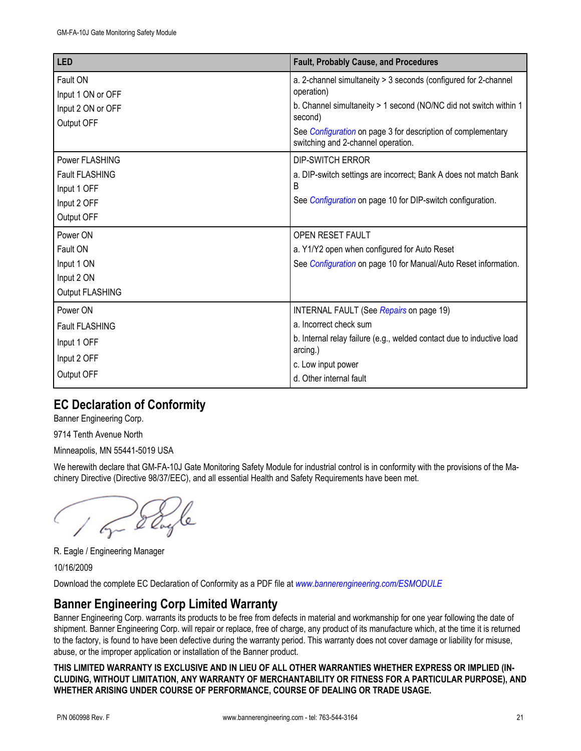| <b>LED</b>                                         | <b>Fault, Probably Cause, and Procedures</b>                                                                                                                  |
|----------------------------------------------------|---------------------------------------------------------------------------------------------------------------------------------------------------------------|
| Fault ON<br>Input 1 ON or OFF<br>Input 2 ON or OFF | a. 2-channel simultaneity > 3 seconds (configured for 2-channel<br>operation)<br>b. Channel simultaneity > 1 second (NO/NC did not switch within 1<br>second) |
| Output OFF                                         | See Configuration on page 3 for description of complementary<br>switching and 2-channel operation.                                                            |
| Power FLASHING                                     | <b>DIP-SWITCH ERROR</b>                                                                                                                                       |
| <b>Fault FLASHING</b><br>Input 1 OFF               | a. DIP-switch settings are incorrect; Bank A does not match Bank<br>B                                                                                         |
| Input 2 OFF                                        | See <i>Configuration</i> on page 10 for DIP-switch configuration.                                                                                             |
| Output OFF                                         |                                                                                                                                                               |
| Power ON                                           | <b>OPEN RESET FAULT</b>                                                                                                                                       |
| Fault ON                                           | a. Y1/Y2 open when configured for Auto Reset                                                                                                                  |
| Input 1 ON                                         | See Configuration on page 10 for Manual/Auto Reset information.                                                                                               |
| Input 2 ON                                         |                                                                                                                                                               |
| Output FLASHING                                    |                                                                                                                                                               |
| Power ON                                           | INTERNAL FAULT (See Repairs on page 19)                                                                                                                       |
| <b>Fault FLASHING</b>                              | a. Incorrect check sum                                                                                                                                        |
| Input 1 OFF                                        | b. Internal relay failure (e.g., welded contact due to inductive load<br>arcing.)                                                                             |
| Input 2 OFF                                        | c. Low input power                                                                                                                                            |
| Output OFF                                         | d. Other internal fault                                                                                                                                       |

# **EC Declaration of Conformity**

Banner Engineering Corp.

9714 Tenth Avenue North

Minneapolis, MN 55441-5019 USA

We herewith declare that GM-FA-10J Gate Monitoring Safety Module for industrial control is in conformity with the provisions of the Machinery Directive (Directive 98/37/EEC), and all essential Health and Safety Requirements have been met.

on dayle

R. Eagle / Engineering Manager

10/16/2009

Download the complete EC Declaration of Conformity as a PDF file at *[www.bannerengineering.com/ESMODULE](http://www.bannerengineering.com/ESMODULE)*

## **Banner Engineering Corp Limited Warranty**

Banner Engineering Corp. warrants its products to be free from defects in material and workmanship for one year following the date of shipment. Banner Engineering Corp. will repair or replace, free of charge, any product of its manufacture which, at the time it is returned to the factory, is found to have been defective during the warranty period. This warranty does not cover damage or liability for misuse, abuse, or the improper application or installation of the Banner product.

**THIS LIMITED WARRANTY IS EXCLUSIVE AND IN LIEU OF ALL OTHER WARRANTIES WHETHER EXPRESS OR IMPLIED (IN-CLUDING, WITHOUT LIMITATION, ANY WARRANTY OF MERCHANTABILITY OR FITNESS FOR A PARTICULAR PURPOSE), AND WHETHER ARISING UNDER COURSE OF PERFORMANCE, COURSE OF DEALING OR TRADE USAGE.**